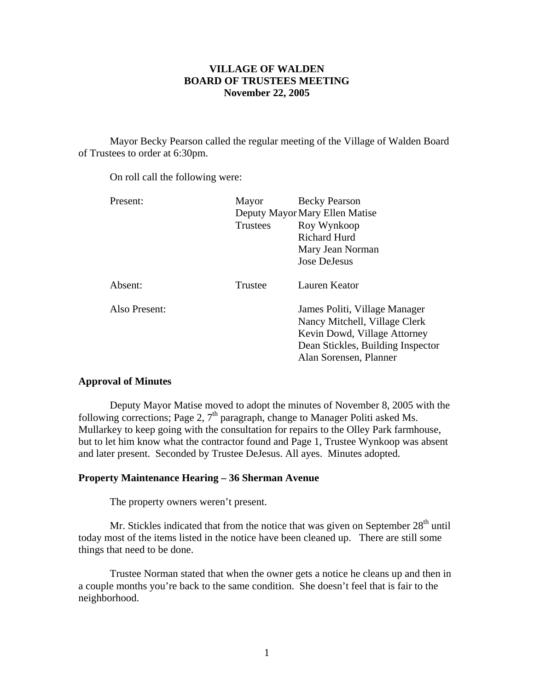# **VILLAGE OF WALDEN BOARD OF TRUSTEES MEETING November 22, 2005**

 Mayor Becky Pearson called the regular meeting of the Village of Walden Board of Trustees to order at 6:30pm.

On roll call the following were:

| Present:      | Mayor    | <b>Becky Pearson</b>              |
|---------------|----------|-----------------------------------|
|               |          | Deputy Mayor Mary Ellen Matise    |
|               | Trustees | Roy Wynkoop                       |
|               |          | <b>Richard Hurd</b>               |
|               |          | Mary Jean Norman                  |
|               |          | Jose DeJesus                      |
| Absent:       | Trustee  | Lauren Keator                     |
| Also Present: |          | James Politi, Village Manager     |
|               |          | Nancy Mitchell, Village Clerk     |
|               |          | Kevin Dowd, Village Attorney      |
|               |          | Dean Stickles, Building Inspector |
|               |          | Alan Sorensen, Planner            |

# **Approval of Minutes**

 Deputy Mayor Matise moved to adopt the minutes of November 8, 2005 with the following corrections; Page 2,  $7<sup>th</sup>$  paragraph, change to Manager Politi asked Ms. Mullarkey to keep going with the consultation for repairs to the Olley Park farmhouse, but to let him know what the contractor found and Page 1, Trustee Wynkoop was absent and later present. Seconded by Trustee DeJesus. All ayes. Minutes adopted.

# **Property Maintenance Hearing – 36 Sherman Avenue**

The property owners weren't present.

Mr. Stickles indicated that from the notice that was given on September  $28<sup>th</sup>$  until today most of the items listed in the notice have been cleaned up. There are still some things that need to be done.

 Trustee Norman stated that when the owner gets a notice he cleans up and then in a couple months you're back to the same condition. She doesn't feel that is fair to the neighborhood.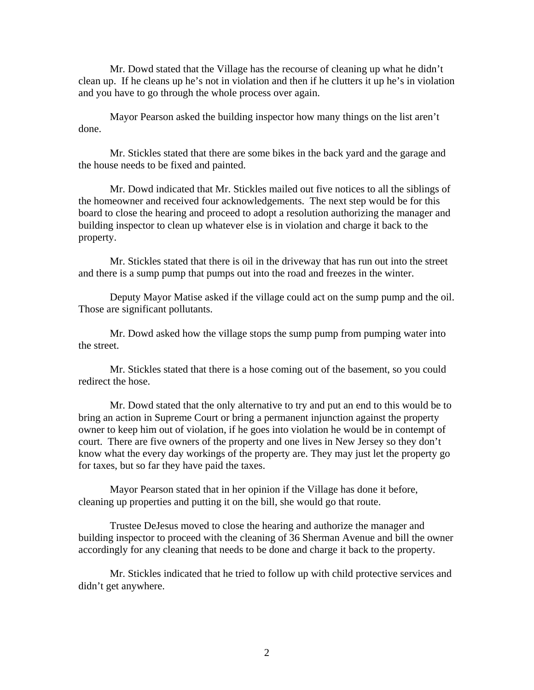Mr. Dowd stated that the Village has the recourse of cleaning up what he didn't clean up. If he cleans up he's not in violation and then if he clutters it up he's in violation and you have to go through the whole process over again.

 Mayor Pearson asked the building inspector how many things on the list aren't done.

 Mr. Stickles stated that there are some bikes in the back yard and the garage and the house needs to be fixed and painted.

 Mr. Dowd indicated that Mr. Stickles mailed out five notices to all the siblings of the homeowner and received four acknowledgements. The next step would be for this board to close the hearing and proceed to adopt a resolution authorizing the manager and building inspector to clean up whatever else is in violation and charge it back to the property.

 Mr. Stickles stated that there is oil in the driveway that has run out into the street and there is a sump pump that pumps out into the road and freezes in the winter.

 Deputy Mayor Matise asked if the village could act on the sump pump and the oil. Those are significant pollutants.

 Mr. Dowd asked how the village stops the sump pump from pumping water into the street.

 Mr. Stickles stated that there is a hose coming out of the basement, so you could redirect the hose.

 Mr. Dowd stated that the only alternative to try and put an end to this would be to bring an action in Supreme Court or bring a permanent injunction against the property owner to keep him out of violation, if he goes into violation he would be in contempt of court. There are five owners of the property and one lives in New Jersey so they don't know what the every day workings of the property are. They may just let the property go for taxes, but so far they have paid the taxes.

 Mayor Pearson stated that in her opinion if the Village has done it before, cleaning up properties and putting it on the bill, she would go that route.

 Trustee DeJesus moved to close the hearing and authorize the manager and building inspector to proceed with the cleaning of 36 Sherman Avenue and bill the owner accordingly for any cleaning that needs to be done and charge it back to the property.

Mr. Stickles indicated that he tried to follow up with child protective services and didn't get anywhere.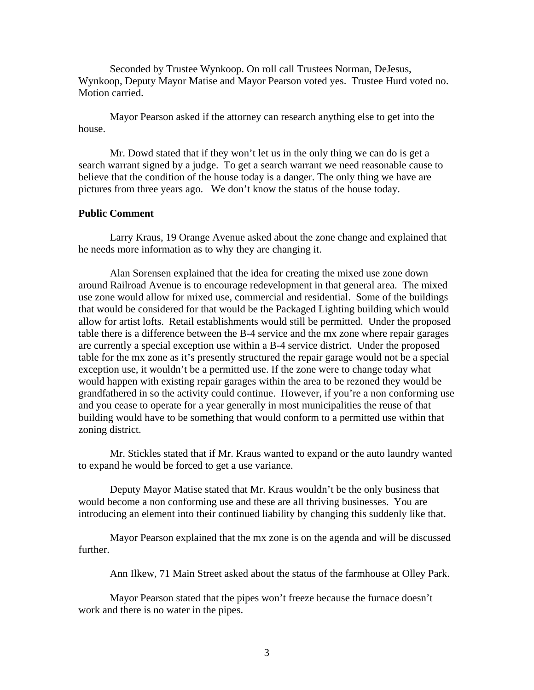Seconded by Trustee Wynkoop. On roll call Trustees Norman, DeJesus, Wynkoop, Deputy Mayor Matise and Mayor Pearson voted yes. Trustee Hurd voted no. Motion carried.

Mayor Pearson asked if the attorney can research anything else to get into the house.

Mr. Dowd stated that if they won't let us in the only thing we can do is get a search warrant signed by a judge. To get a search warrant we need reasonable cause to believe that the condition of the house today is a danger. The only thing we have are pictures from three years ago. We don't know the status of the house today.

# **Public Comment**

Larry Kraus, 19 Orange Avenue asked about the zone change and explained that he needs more information as to why they are changing it.

Alan Sorensen explained that the idea for creating the mixed use zone down around Railroad Avenue is to encourage redevelopment in that general area. The mixed use zone would allow for mixed use, commercial and residential. Some of the buildings that would be considered for that would be the Packaged Lighting building which would allow for artist lofts. Retail establishments would still be permitted. Under the proposed table there is a difference between the B-4 service and the mx zone where repair garages are currently a special exception use within a B-4 service district. Under the proposed table for the mx zone as it's presently structured the repair garage would not be a special exception use, it wouldn't be a permitted use. If the zone were to change today what would happen with existing repair garages within the area to be rezoned they would be grandfathered in so the activity could continue. However, if you're a non conforming use and you cease to operate for a year generally in most municipalities the reuse of that building would have to be something that would conform to a permitted use within that zoning district.

Mr. Stickles stated that if Mr. Kraus wanted to expand or the auto laundry wanted to expand he would be forced to get a use variance.

Deputy Mayor Matise stated that Mr. Kraus wouldn't be the only business that would become a non conforming use and these are all thriving businesses. You are introducing an element into their continued liability by changing this suddenly like that.

Mayor Pearson explained that the mx zone is on the agenda and will be discussed further.

Ann Ilkew, 71 Main Street asked about the status of the farmhouse at Olley Park.

Mayor Pearson stated that the pipes won't freeze because the furnace doesn't work and there is no water in the pipes.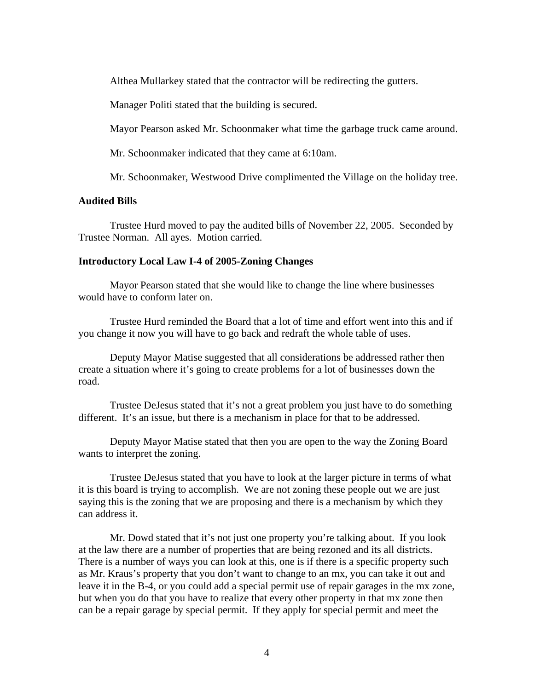Althea Mullarkey stated that the contractor will be redirecting the gutters.

Manager Politi stated that the building is secured.

Mayor Pearson asked Mr. Schoonmaker what time the garbage truck came around.

Mr. Schoonmaker indicated that they came at 6:10am.

Mr. Schoonmaker, Westwood Drive complimented the Village on the holiday tree.

# **Audited Bills**

Trustee Hurd moved to pay the audited bills of November 22, 2005. Seconded by Trustee Norman. All ayes. Motion carried.

# **Introductory Local Law I-4 of 2005-Zoning Changes**

Mayor Pearson stated that she would like to change the line where businesses would have to conform later on.

 Trustee Hurd reminded the Board that a lot of time and effort went into this and if you change it now you will have to go back and redraft the whole table of uses.

 Deputy Mayor Matise suggested that all considerations be addressed rather then create a situation where it's going to create problems for a lot of businesses down the road.

 Trustee DeJesus stated that it's not a great problem you just have to do something different. It's an issue, but there is a mechanism in place for that to be addressed.

 Deputy Mayor Matise stated that then you are open to the way the Zoning Board wants to interpret the zoning.

 Trustee DeJesus stated that you have to look at the larger picture in terms of what it is this board is trying to accomplish. We are not zoning these people out we are just saying this is the zoning that we are proposing and there is a mechanism by which they can address it.

 Mr. Dowd stated that it's not just one property you're talking about. If you look at the law there are a number of properties that are being rezoned and its all districts. There is a number of ways you can look at this, one is if there is a specific property such as Mr. Kraus's property that you don't want to change to an mx, you can take it out and leave it in the B-4, or you could add a special permit use of repair garages in the mx zone, but when you do that you have to realize that every other property in that mx zone then can be a repair garage by special permit. If they apply for special permit and meet the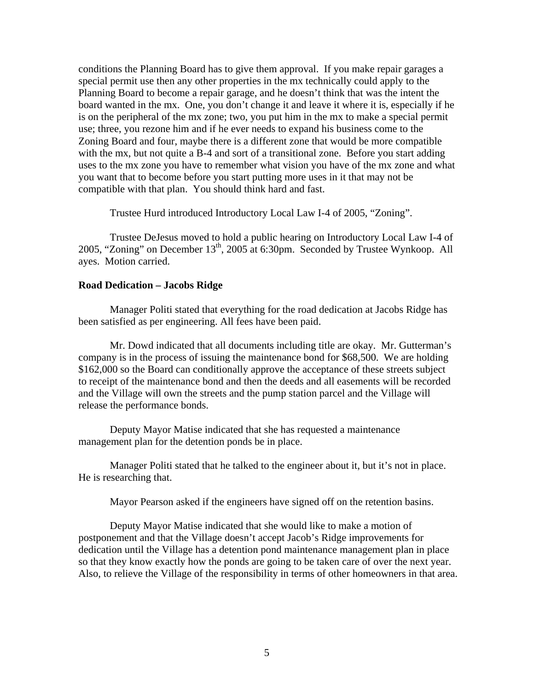conditions the Planning Board has to give them approval. If you make repair garages a special permit use then any other properties in the mx technically could apply to the Planning Board to become a repair garage, and he doesn't think that was the intent the board wanted in the mx. One, you don't change it and leave it where it is, especially if he is on the peripheral of the mx zone; two, you put him in the mx to make a special permit use; three, you rezone him and if he ever needs to expand his business come to the Zoning Board and four, maybe there is a different zone that would be more compatible with the mx, but not quite a B-4 and sort of a transitional zone. Before you start adding uses to the mx zone you have to remember what vision you have of the mx zone and what you want that to become before you start putting more uses in it that may not be compatible with that plan. You should think hard and fast.

Trustee Hurd introduced Introductory Local Law I-4 of 2005, "Zoning".

 Trustee DeJesus moved to hold a public hearing on Introductory Local Law I-4 of 2005, "Zoning" on December  $13<sup>th</sup>$ , 2005 at 6:30pm. Seconded by Trustee Wynkoop. All ayes. Motion carried.

# **Road Dedication – Jacobs Ridge**

Manager Politi stated that everything for the road dedication at Jacobs Ridge has been satisfied as per engineering. All fees have been paid.

Mr. Dowd indicated that all documents including title are okay. Mr. Gutterman's company is in the process of issuing the maintenance bond for \$68,500. We are holding \$162,000 so the Board can conditionally approve the acceptance of these streets subject to receipt of the maintenance bond and then the deeds and all easements will be recorded and the Village will own the streets and the pump station parcel and the Village will release the performance bonds.

Deputy Mayor Matise indicated that she has requested a maintenance management plan for the detention ponds be in place.

Manager Politi stated that he talked to the engineer about it, but it's not in place. He is researching that.

Mayor Pearson asked if the engineers have signed off on the retention basins.

Deputy Mayor Matise indicated that she would like to make a motion of postponement and that the Village doesn't accept Jacob's Ridge improvements for dedication until the Village has a detention pond maintenance management plan in place so that they know exactly how the ponds are going to be taken care of over the next year. Also, to relieve the Village of the responsibility in terms of other homeowners in that area.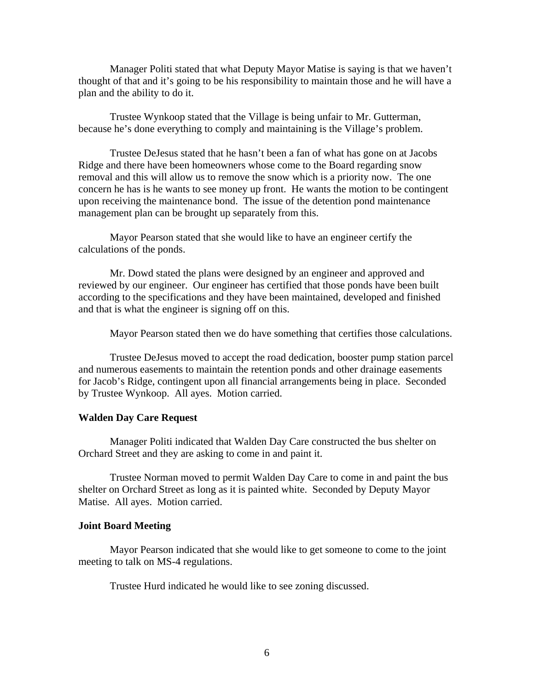Manager Politi stated that what Deputy Mayor Matise is saying is that we haven't thought of that and it's going to be his responsibility to maintain those and he will have a plan and the ability to do it.

Trustee Wynkoop stated that the Village is being unfair to Mr. Gutterman, because he's done everything to comply and maintaining is the Village's problem.

Trustee DeJesus stated that he hasn't been a fan of what has gone on at Jacobs Ridge and there have been homeowners whose come to the Board regarding snow removal and this will allow us to remove the snow which is a priority now. The one concern he has is he wants to see money up front. He wants the motion to be contingent upon receiving the maintenance bond. The issue of the detention pond maintenance management plan can be brought up separately from this.

Mayor Pearson stated that she would like to have an engineer certify the calculations of the ponds.

Mr. Dowd stated the plans were designed by an engineer and approved and reviewed by our engineer. Our engineer has certified that those ponds have been built according to the specifications and they have been maintained, developed and finished and that is what the engineer is signing off on this.

Mayor Pearson stated then we do have something that certifies those calculations.

Trustee DeJesus moved to accept the road dedication, booster pump station parcel and numerous easements to maintain the retention ponds and other drainage easements for Jacob's Ridge, contingent upon all financial arrangements being in place. Seconded by Trustee Wynkoop. All ayes. Motion carried.

### **Walden Day Care Request**

Manager Politi indicated that Walden Day Care constructed the bus shelter on Orchard Street and they are asking to come in and paint it.

 Trustee Norman moved to permit Walden Day Care to come in and paint the bus shelter on Orchard Street as long as it is painted white. Seconded by Deputy Mayor Matise. All ayes. Motion carried.

#### **Joint Board Meeting**

Mayor Pearson indicated that she would like to get someone to come to the joint meeting to talk on MS-4 regulations.

Trustee Hurd indicated he would like to see zoning discussed.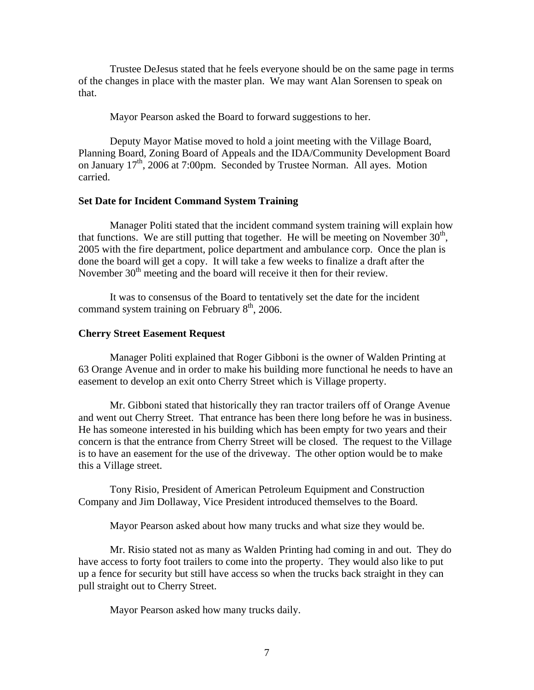Trustee DeJesus stated that he feels everyone should be on the same page in terms of the changes in place with the master plan. We may want Alan Sorensen to speak on that.

Mayor Pearson asked the Board to forward suggestions to her.

Deputy Mayor Matise moved to hold a joint meeting with the Village Board, Planning Board, Zoning Board of Appeals and the IDA/Community Development Board on January 17th, 2006 at 7:00pm. Seconded by Trustee Norman. All ayes. Motion carried.

### **Set Date for Incident Command System Training**

Manager Politi stated that the incident command system training will explain how that functions. We are still putting that together. He will be meeting on November  $30<sup>th</sup>$ , 2005 with the fire department, police department and ambulance corp. Once the plan is done the board will get a copy. It will take a few weeks to finalize a draft after the November  $30<sup>th</sup>$  meeting and the board will receive it then for their review.

 It was to consensus of the Board to tentatively set the date for the incident command system training on February  $8<sup>th</sup>$ , 2006.

### **Cherry Street Easement Request**

Manager Politi explained that Roger Gibboni is the owner of Walden Printing at 63 Orange Avenue and in order to make his building more functional he needs to have an easement to develop an exit onto Cherry Street which is Village property.

 Mr. Gibboni stated that historically they ran tractor trailers off of Orange Avenue and went out Cherry Street. That entrance has been there long before he was in business. He has someone interested in his building which has been empty for two years and their concern is that the entrance from Cherry Street will be closed. The request to the Village is to have an easement for the use of the driveway. The other option would be to make this a Village street.

 Tony Risio, President of American Petroleum Equipment and Construction Company and Jim Dollaway, Vice President introduced themselves to the Board.

Mayor Pearson asked about how many trucks and what size they would be.

 Mr. Risio stated not as many as Walden Printing had coming in and out. They do have access to forty foot trailers to come into the property. They would also like to put up a fence for security but still have access so when the trucks back straight in they can pull straight out to Cherry Street.

Mayor Pearson asked how many trucks daily.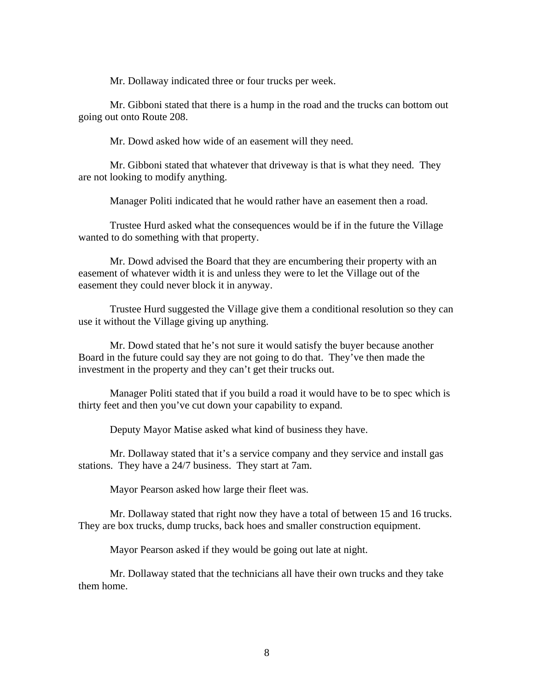Mr. Dollaway indicated three or four trucks per week.

 Mr. Gibboni stated that there is a hump in the road and the trucks can bottom out going out onto Route 208.

Mr. Dowd asked how wide of an easement will they need.

 Mr. Gibboni stated that whatever that driveway is that is what they need. They are not looking to modify anything.

Manager Politi indicated that he would rather have an easement then a road.

 Trustee Hurd asked what the consequences would be if in the future the Village wanted to do something with that property.

 Mr. Dowd advised the Board that they are encumbering their property with an easement of whatever width it is and unless they were to let the Village out of the easement they could never block it in anyway.

 Trustee Hurd suggested the Village give them a conditional resolution so they can use it without the Village giving up anything.

 Mr. Dowd stated that he's not sure it would satisfy the buyer because another Board in the future could say they are not going to do that. They've then made the investment in the property and they can't get their trucks out.

 Manager Politi stated that if you build a road it would have to be to spec which is thirty feet and then you've cut down your capability to expand.

Deputy Mayor Matise asked what kind of business they have.

 Mr. Dollaway stated that it's a service company and they service and install gas stations. They have a 24/7 business. They start at 7am.

Mayor Pearson asked how large their fleet was.

 Mr. Dollaway stated that right now they have a total of between 15 and 16 trucks. They are box trucks, dump trucks, back hoes and smaller construction equipment.

Mayor Pearson asked if they would be going out late at night.

 Mr. Dollaway stated that the technicians all have their own trucks and they take them home.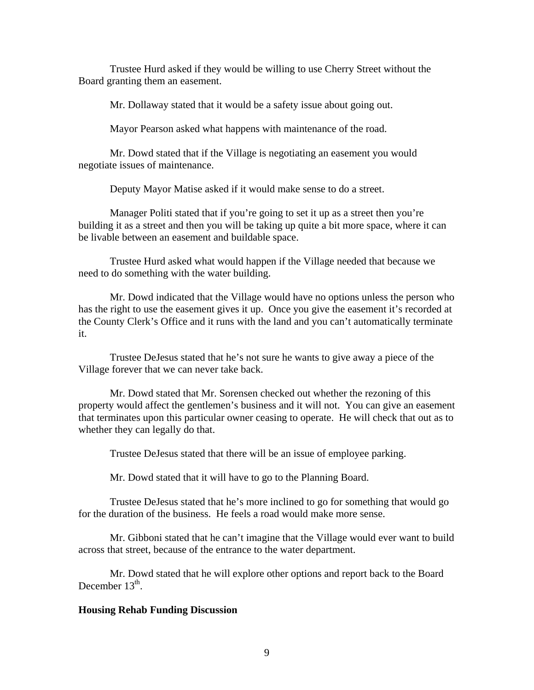Trustee Hurd asked if they would be willing to use Cherry Street without the Board granting them an easement.

Mr. Dollaway stated that it would be a safety issue about going out.

Mayor Pearson asked what happens with maintenance of the road.

 Mr. Dowd stated that if the Village is negotiating an easement you would negotiate issues of maintenance.

Deputy Mayor Matise asked if it would make sense to do a street.

 Manager Politi stated that if you're going to set it up as a street then you're building it as a street and then you will be taking up quite a bit more space, where it can be livable between an easement and buildable space.

 Trustee Hurd asked what would happen if the Village needed that because we need to do something with the water building.

 Mr. Dowd indicated that the Village would have no options unless the person who has the right to use the easement gives it up. Once you give the easement it's recorded at the County Clerk's Office and it runs with the land and you can't automatically terminate it.

 Trustee DeJesus stated that he's not sure he wants to give away a piece of the Village forever that we can never take back.

 Mr. Dowd stated that Mr. Sorensen checked out whether the rezoning of this property would affect the gentlemen's business and it will not. You can give an easement that terminates upon this particular owner ceasing to operate. He will check that out as to whether they can legally do that.

Trustee DeJesus stated that there will be an issue of employee parking.

Mr. Dowd stated that it will have to go to the Planning Board.

 Trustee DeJesus stated that he's more inclined to go for something that would go for the duration of the business. He feels a road would make more sense.

 Mr. Gibboni stated that he can't imagine that the Village would ever want to build across that street, because of the entrance to the water department.

 Mr. Dowd stated that he will explore other options and report back to the Board December  $13<sup>th</sup>$ .

#### **Housing Rehab Funding Discussion**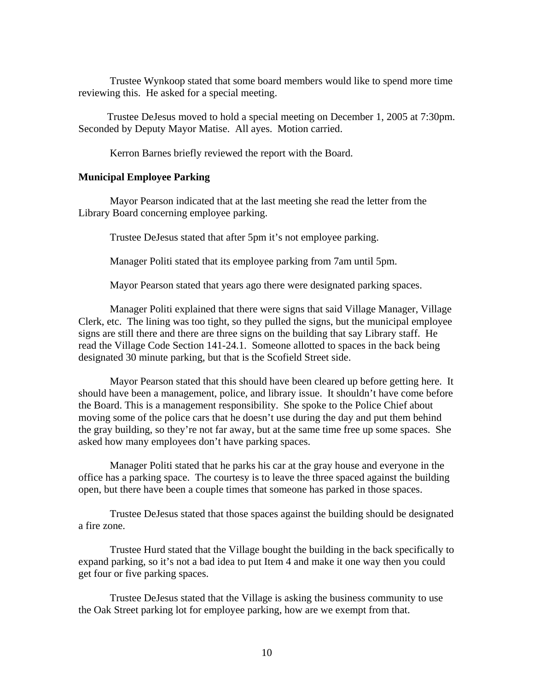Trustee Wynkoop stated that some board members would like to spend more time reviewing this. He asked for a special meeting.

 Trustee DeJesus moved to hold a special meeting on December 1, 2005 at 7:30pm. Seconded by Deputy Mayor Matise. All ayes. Motion carried.

Kerron Barnes briefly reviewed the report with the Board.

# **Municipal Employee Parking**

Mayor Pearson indicated that at the last meeting she read the letter from the Library Board concerning employee parking.

Trustee DeJesus stated that after 5pm it's not employee parking.

Manager Politi stated that its employee parking from 7am until 5pm.

Mayor Pearson stated that years ago there were designated parking spaces.

 Manager Politi explained that there were signs that said Village Manager, Village Clerk, etc. The lining was too tight, so they pulled the signs, but the municipal employee signs are still there and there are three signs on the building that say Library staff. He read the Village Code Section 141-24.1. Someone allotted to spaces in the back being designated 30 minute parking, but that is the Scofield Street side.

 Mayor Pearson stated that this should have been cleared up before getting here. It should have been a management, police, and library issue. It shouldn't have come before the Board. This is a management responsibility. She spoke to the Police Chief about moving some of the police cars that he doesn't use during the day and put them behind the gray building, so they're not far away, but at the same time free up some spaces. She asked how many employees don't have parking spaces.

 Manager Politi stated that he parks his car at the gray house and everyone in the office has a parking space. The courtesy is to leave the three spaced against the building open, but there have been a couple times that someone has parked in those spaces.

 Trustee DeJesus stated that those spaces against the building should be designated a fire zone.

 Trustee Hurd stated that the Village bought the building in the back specifically to expand parking, so it's not a bad idea to put Item 4 and make it one way then you could get four or five parking spaces.

 Trustee DeJesus stated that the Village is asking the business community to use the Oak Street parking lot for employee parking, how are we exempt from that.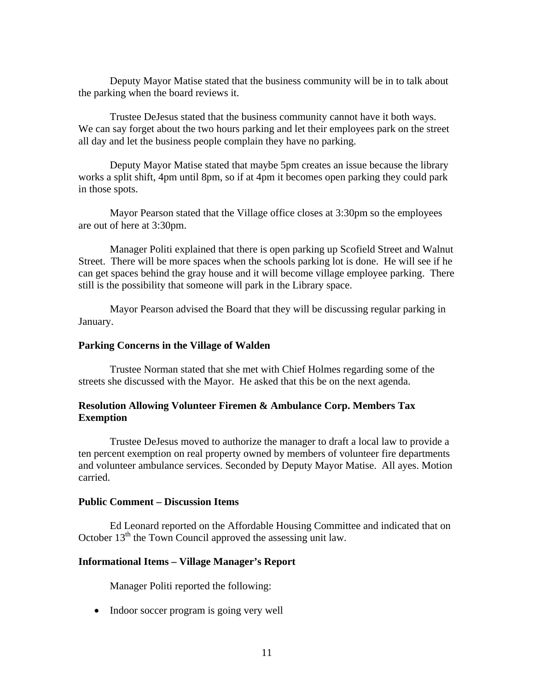Deputy Mayor Matise stated that the business community will be in to talk about the parking when the board reviews it.

 Trustee DeJesus stated that the business community cannot have it both ways. We can say forget about the two hours parking and let their employees park on the street all day and let the business people complain they have no parking.

 Deputy Mayor Matise stated that maybe 5pm creates an issue because the library works a split shift, 4pm until 8pm, so if at 4pm it becomes open parking they could park in those spots.

 Mayor Pearson stated that the Village office closes at 3:30pm so the employees are out of here at 3:30pm.

 Manager Politi explained that there is open parking up Scofield Street and Walnut Street. There will be more spaces when the schools parking lot is done. He will see if he can get spaces behind the gray house and it will become village employee parking. There still is the possibility that someone will park in the Library space.

 Mayor Pearson advised the Board that they will be discussing regular parking in January.

# **Parking Concerns in the Village of Walden**

Trustee Norman stated that she met with Chief Holmes regarding some of the streets she discussed with the Mayor. He asked that this be on the next agenda.

# **Resolution Allowing Volunteer Firemen & Ambulance Corp. Members Tax Exemption**

Trustee DeJesus moved to authorize the manager to draft a local law to provide a ten percent exemption on real property owned by members of volunteer fire departments and volunteer ambulance services. Seconded by Deputy Mayor Matise. All ayes. Motion carried.

# **Public Comment – Discussion Items**

Ed Leonard reported on the Affordable Housing Committee and indicated that on October  $13<sup>th</sup>$  the Town Council approved the assessing unit law.

# **Informational Items – Village Manager's Report**

Manager Politi reported the following:

• Indoor soccer program is going very well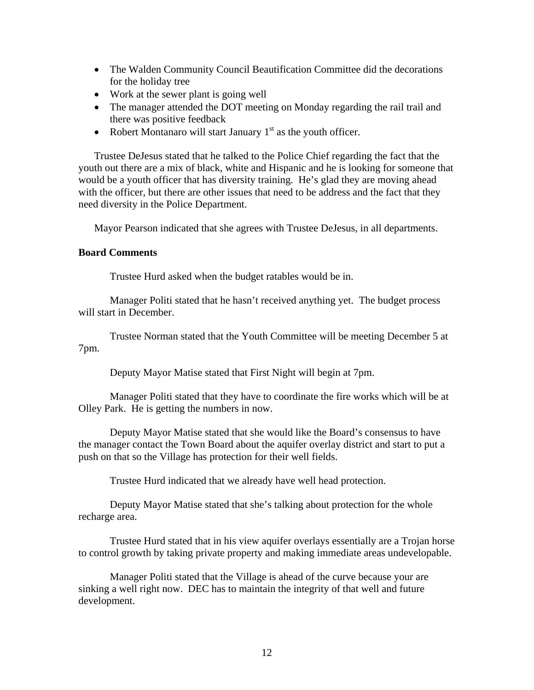- The Walden Community Council Beautification Committee did the decorations for the holiday tree
- Work at the sewer plant is going well
- The manager attended the DOT meeting on Monday regarding the rail trail and there was positive feedback
- Robert Montanaro will start January  $1<sup>st</sup>$  as the youth officer.

Trustee DeJesus stated that he talked to the Police Chief regarding the fact that the youth out there are a mix of black, white and Hispanic and he is looking for someone that would be a youth officer that has diversity training. He's glad they are moving ahead with the officer, but there are other issues that need to be address and the fact that they need diversity in the Police Department.

Mayor Pearson indicated that she agrees with Trustee DeJesus, in all departments.

### **Board Comments**

Trustee Hurd asked when the budget ratables would be in.

 Manager Politi stated that he hasn't received anything yet. The budget process will start in December.

 Trustee Norman stated that the Youth Committee will be meeting December 5 at 7pm.

Deputy Mayor Matise stated that First Night will begin at 7pm.

 Manager Politi stated that they have to coordinate the fire works which will be at Olley Park. He is getting the numbers in now.

 Deputy Mayor Matise stated that she would like the Board's consensus to have the manager contact the Town Board about the aquifer overlay district and start to put a push on that so the Village has protection for their well fields.

Trustee Hurd indicated that we already have well head protection.

 Deputy Mayor Matise stated that she's talking about protection for the whole recharge area.

 Trustee Hurd stated that in his view aquifer overlays essentially are a Trojan horse to control growth by taking private property and making immediate areas undevelopable.

 Manager Politi stated that the Village is ahead of the curve because your are sinking a well right now. DEC has to maintain the integrity of that well and future development.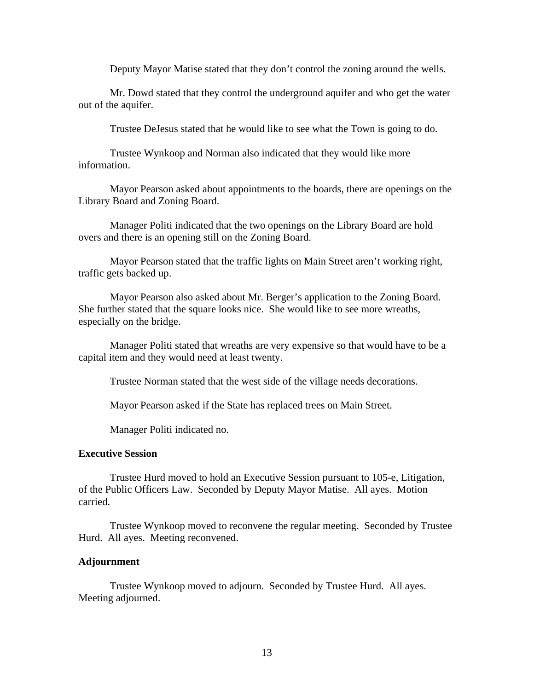Deputy Mayor Matise stated that they don't control the zoning around the wells.

 Mr. Dowd stated that they control the underground aquifer and who get the water out of the aquifer.

Trustee DeJesus stated that he would like to see what the Town is going to do.

 Trustee Wynkoop and Norman also indicated that they would like more information.

 Mayor Pearson asked about appointments to the boards, there are openings on the Library Board and Zoning Board.

 Manager Politi indicated that the two openings on the Library Board are hold overs and there is an opening still on the Zoning Board.

 Mayor Pearson stated that the traffic lights on Main Street aren't working right, traffic gets backed up.

 Mayor Pearson also asked about Mr. Berger's application to the Zoning Board. She further stated that the square looks nice. She would like to see more wreaths, especially on the bridge.

 Manager Politi stated that wreaths are very expensive so that would have to be a capital item and they would need at least twenty.

Trustee Norman stated that the west side of the village needs decorations.

Mayor Pearson asked if the State has replaced trees on Main Street.

Manager Politi indicated no.

#### **Executive Session**

Trustee Hurd moved to hold an Executive Session pursuant to 105-e, Litigation, of the Public Officers Law. Seconded by Deputy Mayor Matise. All ayes. Motion carried.

 Trustee Wynkoop moved to reconvene the regular meeting. Seconded by Trustee Hurd. All ayes. Meeting reconvened.

### **Adjournment**

Trustee Wynkoop moved to adjourn. Seconded by Trustee Hurd. All ayes. Meeting adjourned.